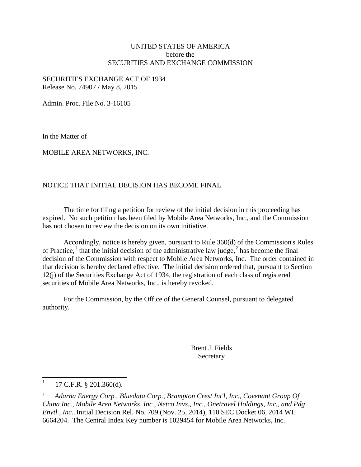# UNITED STATES OF AMERICA before the SECURITIES AND EXCHANGE COMMISSION

SECURITIES EXCHANGE ACT OF 1934 Release No. 74907 / May 8, 2015

Admin. Proc. File No. 3-16105

In the Matter of

MOBILE AREA NETWORKS, INC.

# NOTICE THAT INITIAL DECISION HAS BECOME FINAL

The time for filing a petition for review of the initial decision in this proceeding has expired. No such petition has been filed by Mobile Area Networks, Inc., and the Commission has not chosen to review the decision on its own initiative.

Accordingly, notice is hereby given, pursuant to Rule 360(d) of the Commission's Rules of Practice,<sup>[1](#page-0-0)</sup> that the initial decision of the administrative law judge,<sup>[2](#page-0-1)</sup> has become the final decision of the Commission with respect to Mobile Area Networks, Inc. The order contained in that decision is hereby declared effective. The initial decision ordered that, pursuant to Section 12(j) of the Securities Exchange Act of 1934, the registration of each class of registered securities of Mobile Area Networks, Inc., is hereby revoked.

For the Commission, by the Office of the General Counsel, pursuant to delegated authority.

> Brent J. Fields Secretary

<span id="page-0-0"></span> $1 \quad 17 \text{ C.F.R. }$  § 201.360(d).

<span id="page-0-1"></span><sup>2</sup> *Adarna Energy Corp., Bluedata Corp., Brampton Crest Int'l, Inc., Covenant Group Of China Inc., Mobile Area Networks, Inc., Netco Invs., Inc., Onetravel Holdings, Inc., and Pdg Envtl., Inc.,* Initial Decision Rel. No. 709 (Nov. 25, 2014), 110 SEC Docket 06, 2014 WL 6664204. The Central Index Key number is 1029454 for Mobile Area Networks, Inc.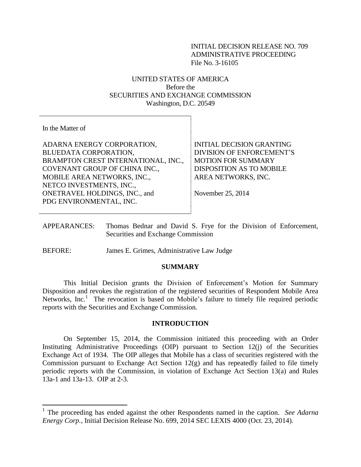# INITIAL DECISION RELEASE NO. 709 ADMINISTRATIVE PROCEEDING File No. 3-16105

# UNITED STATES OF AMERICA Before the SECURITIES AND EXCHANGE COMMISSION Washington, D.C. 20549

In the Matter of

 $\overline{\phantom{a}}$ 

ADARNA ENERGY CORPORATION, BLUEDATA CORPORATION, BRAMPTON CREST INTERNATIONAL, INC., COVENANT GROUP OF CHINA INC., MOBILE AREA NETWORKS, INC., NETCO INVESTMENTS, INC., ONETRAVEL HOLDINGS, INC., and PDG ENVIRONMENTAL, INC.

INITIAL DECISION GRANTING DIVISION OF ENFORCEMENT'S MOTION FOR SUMMARY DISPOSITION AS TO MOBILE AREA NETWORKS, INC.

November 25, 2014

- APPEARANCES: Thomas Bednar and David S. Frye for the Division of Enforcement, Securities and Exchange Commission
- BEFORE: James E. Grimes, Administrative Law Judge

### **SUMMARY**

This Initial Decision grants the Division of Enforcement's Motion for Summary Disposition and revokes the registration of the registered securities of Respondent Mobile Area Networks, Inc.<sup>1</sup> The revocation is based on Mobile's failure to timely file required periodic reports with the Securities and Exchange Commission.

## **INTRODUCTION**

On September 15, 2014, the Commission initiated this proceeding with an Order Instituting Administrative Proceedings (OIP) pursuant to Section 12(j) of the Securities Exchange Act of 1934. The OIP alleges that Mobile has a class of securities registered with the Commission pursuant to Exchange Act Section 12(g) and has repeatedly failed to file timely periodic reports with the Commission, in violation of Exchange Act Section 13(a) and Rules 13a-1 and 13a-13. OIP at 2-3.

<sup>&</sup>lt;sup>1</sup> The proceeding has ended against the other Respondents named in the caption. *See Adarna Energy Corp.*, Initial Decision Release No. 699, 2014 SEC LEXIS 4000 (Oct. 23, 2014).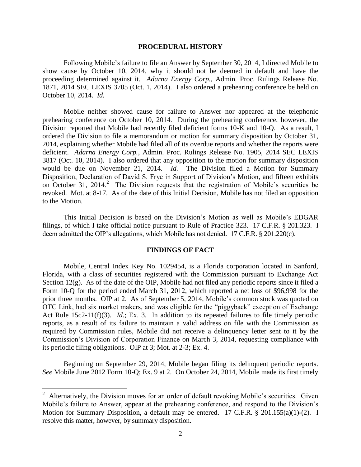#### **PROCEDURAL HISTORY**

Following Mobile's failure to file an Answer by September 30, 2014, I directed Mobile to show cause by October 10, 2014, why it should not be deemed in default and have the proceeding determined against it. *Adarna Energy Corp.*, Admin. Proc. Rulings Release No. 1871, 2014 SEC LEXIS 3705 (Oct. 1, 2014). I also ordered a prehearing conference be held on October 10, 2014. *Id.* 

Mobile neither showed cause for failure to Answer nor appeared at the telephonic prehearing conference on October 10, 2014. During the prehearing conference, however, the Division reported that Mobile had recently filed deficient forms 10-K and 10-Q. As a result, I ordered the Division to file a memorandum or motion for summary disposition by October 31, 2014, explaining whether Mobile had filed all of its overdue reports and whether the reports were deficient. *Adarna Energy Corp.*, Admin. Proc. Rulings Release No. 1905, 2014 SEC LEXIS 3817 (Oct. 10, 2014). I also ordered that any opposition to the motion for summary disposition would be due on November 21, 2014. *Id.* The Division filed a Motion for Summary Disposition, Declaration of David S. Frye in Support of Division's Motion, and fifteen exhibits on October 31, 2014.<sup>2</sup> The Division requests that the registration of Mobile's securities be revoked. Mot. at 8-17. As of the date of this Initial Decision, Mobile has not filed an opposition to the Motion.

This Initial Decision is based on the Division's Motion as well as Mobile's EDGAR filings, of which I take official notice pursuant to Rule of Practice 323. 17 C.F.R. § 201.323. I deem admitted the OIP's allegations, which Mobile has not denied. 17 C.F.R. § 201.220(c).

# **FINDINGS OF FACT**

Mobile, Central Index Key No. 1029454, is a Florida corporation located in Sanford, Florida, with a class of securities registered with the Commission pursuant to Exchange Act Section 12(g). As of the date of the OIP, Mobile had not filed any periodic reports since it filed a Form 10-Q for the period ended March 31, 2012, which reported a net loss of \$96,998 for the prior three months. OIP at 2. As of September 5, 2014, Mobile's common stock was quoted on OTC Link, had six market makers, and was eligible for the "piggyback" exception of Exchange Act Rule 15c2-11(f)(3). *Id*.; Ex. 3. In addition to its repeated failures to file timely periodic reports, as a result of its failure to maintain a valid address on file with the Commission as required by Commission rules, Mobile did not receive a delinquency letter sent to it by the Commission's Division of Corporation Finance on March 3, 2014, requesting compliance with its periodic filing obligations. OIP at 3; Mot. at 2-3; Ex. 4.

Beginning on September 29, 2014, Mobile began filing its delinquent periodic reports. *See* Mobile June 2012 Form 10-Q; Ex. 9 at 2. On October 24, 2014, Mobile made its first timely

 $\overline{a}$ 

<sup>&</sup>lt;sup>2</sup> Alternatively, the Division moves for an order of default revoking Mobile's securities. Given Mobile's failure to Answer, appear at the prehearing conference, and respond to the Division's Motion for Summary Disposition, a default may be entered. 17 C.F.R. § 201.155(a)(1)-(2). I resolve this matter, however, by summary disposition.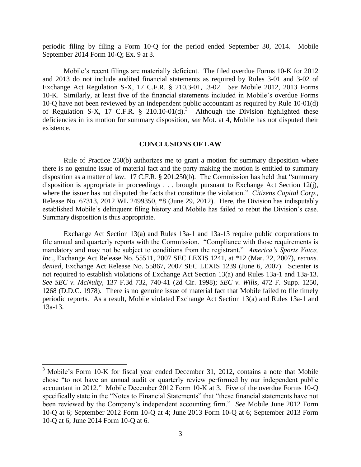periodic filing by filing a Form 10-Q for the period ended September 30, 2014. Mobile September 2014 Form 10-Q; Ex. 9 at 3.

Mobile's recent filings are materially deficient. The filed overdue Forms 10-K for 2012 and 2013 do not include audited financial statements as required by Rules 3-01 and 3-02 of Exchange Act Regulation S-X, 17 C.F.R. § 210.3-01, .3-02. *See* Mobile 2012, 2013 Forms 10-K. Similarly, at least five of the financial statements included in Mobile's overdue Forms 10-Q have not been reviewed by an independent public accountant as required by Rule 10-01(d) of Regulation S-X, 17 C.F.R.  $\frac{1}{2}$  210.10-01(d).<sup>3</sup> Although the Division highlighted these deficiencies in its motion for summary disposition, *see* Mot. at 4, Mobile has not disputed their existence.

## **CONCLUSIONS OF LAW**

Rule of Practice 250(b) authorizes me to grant a motion for summary disposition where there is no genuine issue of material fact and the party making the motion is entitled to summary disposition as a matter of law. 17 C.F.R. § 201.250(b). The Commission has held that "summary disposition is appropriate in proceedings . . . brought pursuant to Exchange Act Section 12(j), where the issuer has not disputed the facts that constitute the violation." *Citizens Capital Corp*., Release No. 67313, 2012 WL 2499350, \*8 (June 29, 2012). Here, the Division has indisputably established Mobile's delinquent filing history and Mobile has failed to rebut the Division's case. Summary disposition is thus appropriate.

Exchange Act Section 13(a) and Rules 13a-1 and 13a-13 require public corporations to file annual and quarterly reports with the Commission. "Compliance with those requirements is mandatory and may not be subject to conditions from the registrant." *America's Sports Voice, Inc.*, Exchange Act Release No. 55511, 2007 SEC LEXIS 1241, at \*12 (Mar. 22, 2007), *recons. denied*, Exchange Act Release No. 55867, 2007 SEC LEXIS 1239 (June 6, 2007). Scienter is not required to establish violations of Exchange Act Section 13(a) and Rules 13a-1 and 13a-13. *See SEC v. McNulty*, 137 F.3d 732, 740-41 (2d Cir. 1998); *SEC v. Wills*, 472 F. Supp. 1250, 1268 (D.D.C. 1978). There is no genuine issue of material fact that Mobile failed to file timely periodic reports. As a result, Mobile violated Exchange Act Section 13(a) and Rules 13a-1 and 13a-13.

 $\overline{\phantom{a}}$ 

 $3$  Mobile's Form 10-K for fiscal year ended December 31, 2012, contains a note that Mobile chose "to not have an annual audit or quarterly review performed by our independent public accountant in 2012." Mobile December 2012 Form 10-K at 3. Five of the overdue Forms 10-Q specifically state in the "Notes to Financial Statements" that "these financial statements have not been reviewed by the Company's independent accounting firm." *See* Mobile June 2012 Form 10-Q at 6; September 2012 Form 10-Q at 4; June 2013 Form 10-Q at 6; September 2013 Form 10-Q at 6; June 2014 Form 10-Q at 6.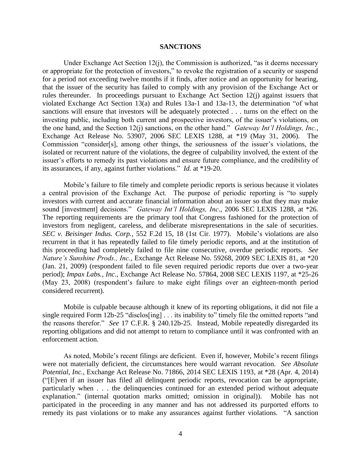#### **SANCTIONS**

Under Exchange Act Section 12(j), the Commission is authorized, "as it deems necessary or appropriate for the protection of investors," to revoke the registration of a security or suspend for a period not exceeding twelve months if it finds, after notice and an opportunity for hearing, that the issuer of the security has failed to comply with any provision of the Exchange Act or rules thereunder. In proceedings pursuant to Exchange Act Section 12(j) against issuers that violated Exchange Act Section 13(a) and Rules 13a-1 and 13a-13, the determination "of what sanctions will ensure that investors will be adequately protected . . . turns on the effect on the investing public, including both current and prospective investors, of the issuer's violations, on the one hand, and the Section 12(j) sanctions, on the other hand." *Gateway Int'l Holdings, Inc.*, Exchange Act Release No. 53907, 2006 SEC LEXIS 1288, at \*19 (May 31, 2006). The Commission "consider[s], among other things, the seriousness of the issuer's violations, the isolated or recurrent nature of the violations, the degree of culpability involved, the extent of the issuer's efforts to remedy its past violations and ensure future compliance, and the credibility of its assurances, if any, against further violations." *Id.* at \*19-20.

Mobile's failure to file timely and complete periodic reports is serious because it violates a central provision of the Exchange Act. The purpose of periodic reporting is "to supply investors with current and accurate financial information about an issuer so that they may make sound [investment] decisions." *Gateway Int'l Holdings, Inc*., 2006 SEC LEXIS 1288, at \*26. The reporting requirements are the primary tool that Congress fashioned for the protection of investors from negligent, careless, and deliberate misrepresentations in the sale of securities. *SEC v. Beisinger Indus. Corp.*, 552 F.2d 15, 18 (1st Cir. 1977). Mobile's violations are also recurrent in that it has repeatedly failed to file timely periodic reports, and at the institution of this proceeding had completely failed to file nine consecutive, overdue periodic reports. *See Nature's Sunshine Prods., Inc.*, Exchange Act Release No. 59268, 2009 SEC LEXIS 81, at \*20 (Jan. 21, 2009) (respondent failed to file seven required periodic reports due over a two-year period); *Impax Labs., Inc.*, Exchange Act Release No. 57864, 2008 SEC LEXIS 1197, at \*25-26 (May 23, 2008) (respondent's failure to make eight filings over an eighteen-month period considered recurrent).

Mobile is culpable because although it knew of its reporting obligations, it did not file a single required Form 12b-25 "disclos[ing] . . . its inability to" timely file the omitted reports "and the reasons therefor." *See* 17 C.F.R. § 240.12b-25. Instead, Mobile repeatedly disregarded its reporting obligations and did not attempt to return to compliance until it was confronted with an enforcement action.

As noted, Mobile's recent filings are deficient. Even if, however, Mobile's recent filings were not materially deficient, the circumstances here would warrant revocation. *See Absolute Potential, Inc.*, Exchange Act Release No. 71866, 2014 SEC LEXIS 1193, at \*28 (Apr. 4, 2014) ("[E]ven if an issuer has filed all delinquent periodic reports, revocation can be appropriate, particularly when . . . the delinquencies continued for an extended period without adequate explanation." (internal quotation marks omitted; omission in original)). Mobile has not participated in the proceeding in any manner and has not addressed its purported efforts to remedy its past violations or to make any assurances against further violations. "A sanction